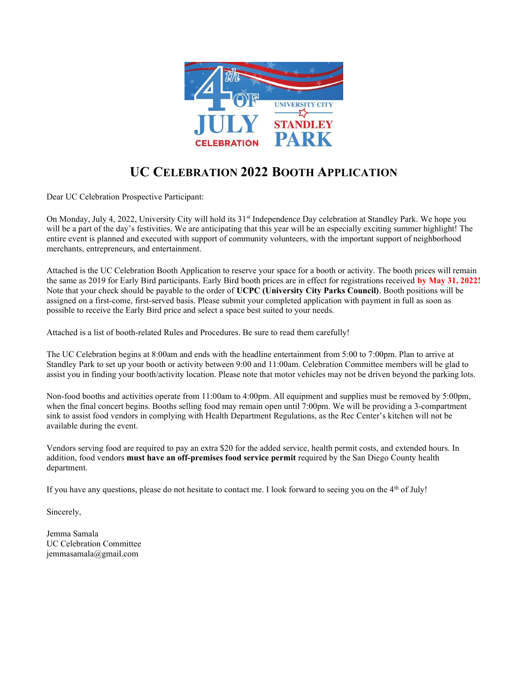

## UC CELEBRATION 2022 BOOTH APPLICATION

Dear UC Celebration Prospective Participant:

On Monday, July 4, 2022, University City will hold its 31<sup>st</sup> Independence Day celebration at Standley Park. We hope you will be a part of the day's festivities. We are anticipating that this year will be an especially exciting summer highlight! The entire event is planned and executed with support of community volunteers, with the important support of neighborhood merchants, entrepreneurs, and entertainment.

Attached is the UC Celebration Booth Application to reserve your space for a booth or activity. The booth prices will remain the same as 2019 for Early Bird participants. Early Bird booth prices are in effect for registrations received by May 31, 2022! Note that your check should be payable to the order of UCPC (University City Parks Council). Booth positions will be assigned on a first-come, first-served basis. Please submit your completed application with payment in full as soon as possible to receive the Early Bird price and select a space best suited to your needs.

Attached is a list of booth-related Rules and Procedures. Be sure to read them carefully!

The UC Celebration begins at 8:00am and ends with the headline entertainment from 5:00 to 7:00pm. Plan to arrive at Standley Park to set up your booth or activity between 9:00 and 11:00am. Celebration Committee members will be glad to assist you in finding your booth/activity location. Please note that motor vehicles may not be driven beyond the parking lots.

Non-food booths and activities operate from 11:00am to 4:00pm. All equipment and supplies must be removed by 5:00pm, when the final concert begins. Booths selling food may remain open until 7:00pm. We will be providing a 3-compartment sink to assist food vendors in complying with Health Department Regulations, as the Rec Center's kitchen will not be available during the event.

Vendors serving food are required to pay an extra \$20 for the added service, health permit costs, and extended hours. In addition, food vendors **must have an off-premises food service permit** required by the San Diego County health department.

If you have any questions, please do not hesitate to contact me. I look forward to seeing you on the  $4<sup>th</sup>$  of July!

Sincerely,

Jemma Samala UC Celebration Committee jemmasamala@gmail.com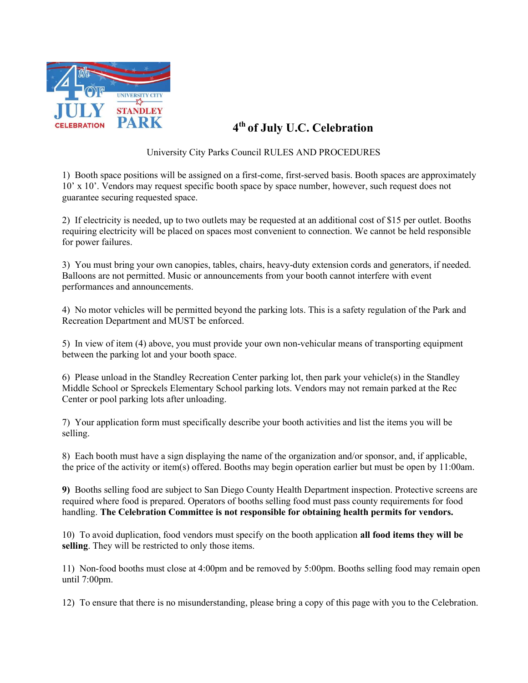

## 4th of July U.C. Celebration

University City Parks Council RULES AND PROCEDURES

1) Booth space positions will be assigned on a first-come, first-served basis. Booth spaces are approximately 10' x 10'. Vendors may request specific booth space by space number, however, such request does not guarantee securing requested space.

2) If electricity is needed, up to two outlets may be requested at an additional cost of \$15 per outlet. Booths requiring electricity will be placed on spaces most convenient to connection. We cannot be held responsible for power failures.

3) You must bring your own canopies, tables, chairs, heavy-duty extension cords and generators, if needed. Balloons are not permitted. Music or announcements from your booth cannot interfere with event performances and announcements.

4) No motor vehicles will be permitted beyond the parking lots. This is a safety regulation of the Park and Recreation Department and MUST be enforced.

5) In view of item (4) above, you must provide your own non-vehicular means of transporting equipment between the parking lot and your booth space.

6) Please unload in the Standley Recreation Center parking lot, then park your vehicle(s) in the Standley Middle School or Spreckels Elementary School parking lots. Vendors may not remain parked at the Rec Center or pool parking lots after unloading.

7) Your application form must specifically describe your booth activities and list the items you will be selling.

8) Each booth must have a sign displaying the name of the organization and/or sponsor, and, if applicable, the price of the activity or item(s) offered. Booths may begin operation earlier but must be open by 11:00am.

9) Booths selling food are subject to San Diego County Health Department inspection. Protective screens are required where food is prepared. Operators of booths selling food must pass county requirements for food handling. The Celebration Committee is not responsible for obtaining health permits for vendors.

10) To avoid duplication, food vendors must specify on the booth application all food items they will be selling. They will be restricted to only those items.

11) Non-food booths must close at 4:00pm and be removed by 5:00pm. Booths selling food may remain open until 7:00pm.

12) To ensure that there is no misunderstanding, please bring a copy of this page with you to the Celebration.